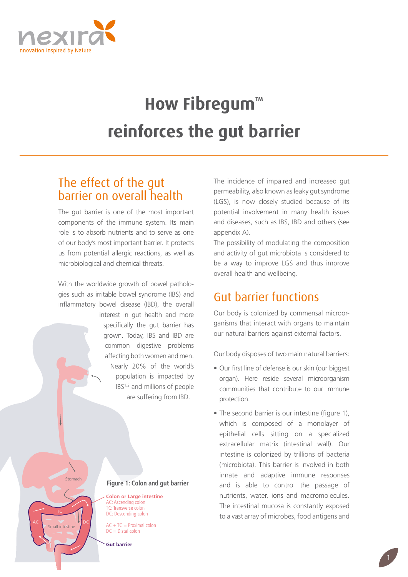

# **How Fibregum™ reinforces the gut barrier**

# The effect of the gut barrier on overall health

The gut barrier is one of the most important components of the immune system. Its main role is to absorb nutrients and to serve as one of our body's most important barrier. It protects us from potential allergic reactions, as well as microbiological and chemical threats.

With the worldwide growth of bowel pathologies such as irritable bowel syndrome (IBS) and inflammatory bowel disease (IBD), the overall

> interest in gut health and more specifically the gut barrier has grown. Today, IBS and IBD are common digestive problems affecting both women and men. Nearly 20% of the world's population is impacted by IBS1,2 and millions of people are suffering from IBD.

The incidence of impaired and increased gut permeability, also known as leaky gut syndrome (LGS), is now closely studied because of its potential involvement in many health issues and diseases, such as IBS, IBD and others (see appendix A).

The possibility of modulating the composition and activity of gut microbiota is considered to be a way to improve LGS and thus improve overall health and wellbeing.

# Gut barrier functions

Our body is colonized by commensal microorganisms that interact with organs to maintain our natural barriers against external factors.

Our body disposes of two main natural barriers:

- Our first line of defense is our skin (our biggest organ). Here reside several microorganism communities that contribute to our immune protection.
- The second barrier is our intestine (figure 1), which is composed of a monolayer of epithelial cells sitting on a specialized extracellular matrix (intestinal wall). Our intestine is colonized by trillions of bacteria (microbiota). This barrier is involved in both innate and adaptive immune responses and is able to control the passage of nutrients, water, ions and macromolecules. The intestinal mucosa is constantly exposed to a vast array of microbes, food antigens and

1

#### **Figure 1: Colon and gut barrier**

**Colon or Large intestine** AC: Ascending colon TC: Transverse colon DC: Descending colon

 $AC + TC = Proximal colon$  $DC = Distal$  colon

**Gut barrier**

Stomach

Small intestine AC NO V DC TC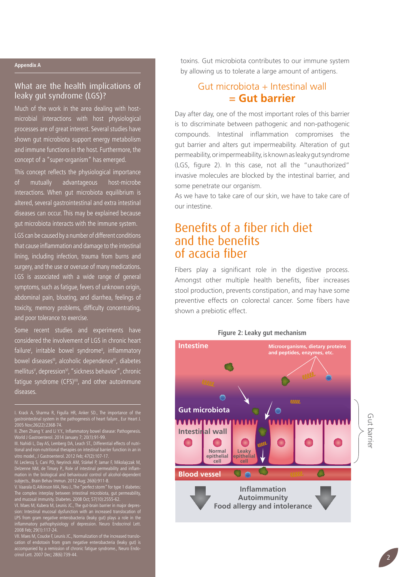#### **Appendix A**

### What are the health implications of leaky gut syndrome (LGS)?

Much of the work in the area dealing with hostmicrobial interactions with host physiological processes are of great interest. Several studies have shown gut microbiota support energy metabolism and immune functions in the host. Furthermore, the concept of a "super-organism" has emerged.

This concept reflects the physiological importance of mutually advantageous host-microbe interactions. When gut microbiota equilibrium is altered, several gastrointestinal and extra intestinal diseases can occur. This may be explained because gut microbiota interacts with the immune system.

LGS can be caused by a number of different conditions that cause inflammation and damage to the intestinal lining, including infection, trauma from burns and surgery, and the use or overuse of many medications. LGS is associated with a wide range of general symptoms, such as fatigue, fevers of unknown origin, abdominal pain, bloating, and diarrhea, feelings of toxicity, memory problems, difficulty concentrating, and poor tolerance to exercise.

Some recent studies and experiments have considered the involvement of LGS in chronic heart failure<sup>†</sup>, irritable bowel syndrome<sup>"</sup>, inflammatory bowel diseases<sup>III</sup>, alcoholic dependence<sup>IV</sup>, diabetes mellitus<sup>v</sup>, depression<sup>v</sup>, "sickness behavior", chronic fatique syndrome (CFS)<sup>VII</sup>, and other autoimmune diseases.

I. Krack A, Sharma R, Figulla HR, Anker SD., The importance of the gastrointestinal system in the pathogenesis of heart failure., Eur Heart J. 2005 Nov;26(22):2368-74.

III. Nahidi L, Day AS, Lemberg DA, Leach ST., Differential effects of nutritional and non-nutritional therapies on intestinal barrier function in an in vitro model., J Gastroenterol. 2012 Feb; 47(2):107-17.

IV. Leclercq S, Cani PD, Neyrinck AM, Stärkel P, Jamar F, Mikolajczak M, Delzenne NM, de Timary P., Role of intestinal permeability and inflammation in the biological and behavioural control of alcohol-dependent subjects., Brain Behav Immun. 2012 Aug; 26(6):911-8.

V. Vaarala O, Atkinson MA, Neu J., The "perfect storm" for type 1 diabetes: The complex interplay between intestinal microbiota, gut permeability, and mucosal immunity. Diabetes. 2008 Oct; 57(10):2555-62.

VI. Maes M, Kubera M, Leunis JC., The gut-brain barrier in major depression: Intestinal mucosal dysfunction with an increased translocation of LPS from gram negative enterobacteria (leaky gut) plays a role in the inflammatory pathophysiology of depression. Neuro Endocrinol Lett. 2008 Feb; 29(1):117-24.

VII. Maes M, Coucke F, Leunis JC., Normalization of the increased translocation of endotoxin from gram negative enterobacteria (leaky gut) is accompanied by a remission of chronic fatigue syndrome., Neuro Endocrinol Lett. 2007 Dec; 28(6):739-44.

toxins. Gut microbiota contributes to our immune system by allowing us to tolerate a large amount of antigens.

## Gut microbiota + Intestinal wall **= Gut barrier**

Day after day, one of the most important roles of this barrier is to discriminate between pathogenic and non-pathogenic compounds. Intestinal inflammation compromises the gut barrier and alters gut impermeability. Alteration of gut permeability, or impermeability, is known as leaky gut syndrome (LGS, figure 2). In this case, not all the "unauthorized" invasive molecules are blocked by the intestinal barrier, and some penetrate our organism.

As we have to take care of our skin, we have to take care of our intestine.

## Benefits of a fiber rich diet and the benefits of acacia fiber

Fibers play a significant role in the digestive process. Amongst other multiple health benefits, fiber increases stool production, prevents constipation, and may have some preventive effects on colorectal cancer. Some fibers have shown a prebiotic effect.

## **Figure 2: Leaky gut mechanism Intestine Microorganisms, dietary proteins and peptides, enzymes, etc. www Gut microbiota** Gut barrie **Intestinal wall Normal Leaky epithelial epithelial cell cell**  $\circ$   $\circ$ **Blood vessel Inflammation Autoimmunity Food allergy and intolerance**

Gut barrier

II. Zhen Zhang Y. and Li Y.Y., Inflammatory bowel disease: Pathogenesis. World J Gastroenterol. 2014 January 7; 20(1):91-99.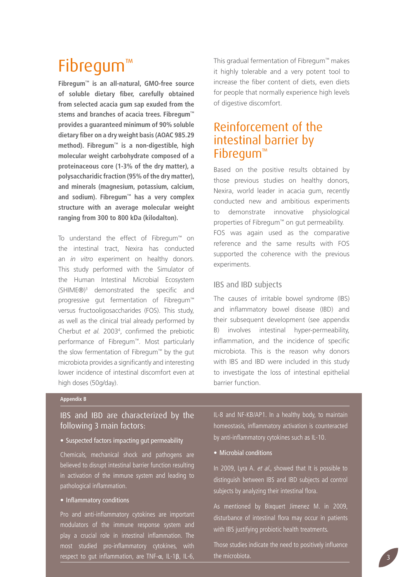# Fibregum™

**Fibregum™ is an all-natural, GMO-free source of soluble dietary fiber, carefully obtained from selected acacia gum sap exuded from the stems and branches of acacia trees. Fibregum™ provides a guaranteed minimum of 90% soluble dietary fiber on a dry weight basis (AOAC 985.29 method). Fibregum™ is a non-digestible, high molecular weight carbohydrate composed of a proteinaceous core (1-3% of the dry matter), a polysaccharidic fraction (95% of the dry matter), and minerals (magnesium, potassium, calcium, and sodium). Fibregum™ has a very complex structure with an average molecular weight ranging from 300 to 800 kDa (kilodalton).**

To understand the effect of Fibregum™ on the intestinal tract, Nexira has conducted an *in vitro* experiment on healthy donors. This study performed with the Simulator of the Human Intestinal Microbial Ecosystem (SHIME®)3 demonstrated the specific and progressive gut fermentation of Fibregum™ versus fructooligosaccharides (FOS). This study, as well as the clinical trial already performed by Cherbut *et al.* 20034 , confirmed the prebiotic performance of Fibregum™. Most particularly the slow fermentation of Fibregum™ by the gut microbiota provides a significantly and interesting lower incidence of intestinal discomfort even at high doses (50g/day).

This gradual fermentation of Fibregum™ makes it highly tolerable and a very potent tool to increase the fiber content of diets, even diets for people that normally experience high levels of digestive discomfort.

# Reinforcement of the intestinal barrier by Fibregum™

Based on the positive results obtained by those previous studies on healthy donors, Nexira, world leader in acacia gum, recently conducted new and ambitious experiments to demonstrate innovative physiological properties of Fibregum™ on gut permeability. FOS was again used as the comparative reference and the same results with FOS supported the coherence with the previous experiments.

### IBS and IBD subjects

The causes of irritable bowel syndrome (IBS) and inflammatory bowel disease (IBD) and their subsequent development (see appendix B) involves intestinal hyper-permeability, inflammation, and the incidence of specific microbiota. This is the reason why donors with IBS and IBD were included in this study to investigate the loss of intestinal epithelial barrier function.

#### **Appendix B**

### IBS and IBD are characterized by the following 3 main factors:

#### • Suspected factors impacting gut permeability

Chemicals, mechanical shock and pathogens are believed to disrupt intestinal barrier function resulting in activation of the immune system and leading to pathological inflammation.

#### • Inflammatory conditions

Pro and anti-inflammatory cytokines are important modulators of the immune response system and play a crucial role in intestinal inflammation. The most studied pro-inflammatory cytokines, with respect to gut inflammation, are TNF-α, IL-1β, IL-6, IL-8 and NF-KB/AP1. In a healthy body, to maintain homeostasis, inflammatory activation is counteracted by anti-inflammatory cytokines such as IL-10.

#### • Microbial conditions

In 2009, Lyra A. et al., showed that It is possible to distinguish between IBS and IBD subjects ad control subjects by analyzing their intestinal flora.

As mentioned by Bixquert Jimenez M. in 2009, disturbance of intestinal flora may occur in patients with IBS justifying probiotic health treatments.

Those studies indicate the need to positively influence the microbiota.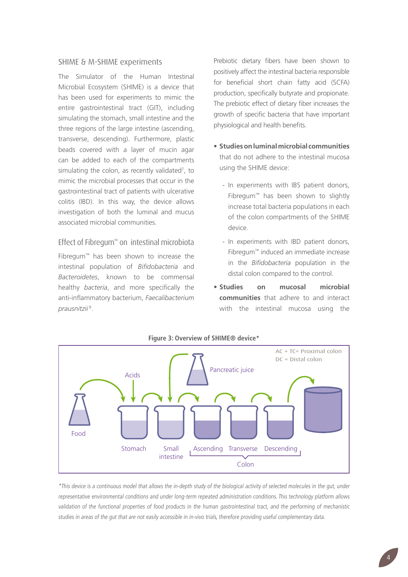#### SHIME & M-SHIME experiments

The Simulator of the Human Intestinal Microbial Ecosystem (SHIME) is a device that has been used for experiments to mimic the entire gastrointestinal tract (GIT), including simulating the stomach, small intestine and the three regions of the large intestine (ascending, transverse, descending). Furthermore, plastic beads covered with a layer of mucin agar can be added to each of the compartments simulating the colon, as recently validated<sup>7</sup>, to mimic the microbial processes that occur in the gastrointestinal tract of patients with ulcerative colitis (IBD). In this way, the device allows investigation of both the luminal and mucus associated microbial communities.

### Effect of Fibregum™ on intestinal microbiota

Fibregum™ has been shown to increase the intestinal population of *Bifidobacteria* and *Bacteroidetes*, known to be commensal healthy *bacteria*, and more specifically the anti-inflammatory bacterium, *Faecalibacterium prausnitzii* 8.

Prebiotic dietary fibers have been shown to positively affect the intestinal bacteria responsible for beneficial short chain fatty acid (SCFA) production, specifically butyrate and propionate. The prebiotic effect of dietary fiber increases the growth of specific bacteria that have important physiological and health benefits.

- **• Studies on luminal microbial communities** that do not adhere to the intestinal mucosa using the SHIME device:
	- In experiments with IBS patient donors, Fibregum™ has been shown to slightly increase total bacteria populations in each of the colon compartments of the SHIME device.
	- In experiments with IBD patient donors, Fibregum™ induced an immediate increase in the *Bifidobacteria* population in the distal colon compared to the control.
- **• Studies on mucosal microbial communities** that adhere to and interact with the intestinal mucosa using the



#### **Figure 3: Overview of Shime® device\***

\*This device is a continuous model that allows the in-depth study of the biological activity of selected molecules in the gut, under representative environmental conditions and under long-term repeated administration conditions. This technology platform allows validation of the functional properties of food products in the human gastrointestinal tract, and the performing of mechanistic studies in areas of the gut that are not easily accessible in in-vivo trials, therefore providing useful complementary data.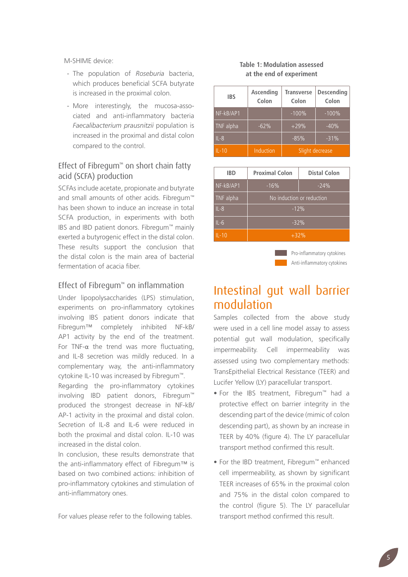M-SHIME device:

- The population of *Roseburia* bacteria, which produces beneficial SCFA butyrate is increased in the proximal colon.
- More interestingly, the mucosa-associated and anti-inflammatory bacteria *Faecalibacterium prausnitzii* population is increased in the proximal and distal colon compared to the control.

### Effect of Fibregum™ on short chain fatty acid (SCFA) production

SCFAs include acetate, propionate and butyrate and small amounts of other acids. Fibregum™ has been shown to induce an increase in total SCFA production, in experiments with both IBS and IBD patient donors. Fibregum™ mainly exerted a butyrogenic effect in the distal colon. These results support the conclusion that the distal colon is the main area of bacterial fermentation of acacia fiber.

### Effect of Fibregum™ on inflammation

Under lipopolysaccharides (LPS) stimulation, experiments on pro-inflammatory cytokines involving IBS patient donors indicate that Fibregum™ completely inhibited NF-kB/ AP1 activity by the end of the treatment. For TNF-α the trend was more fluctuating, and IL-8 secretion was mildly reduced. In a complementary way, the anti-inflammatory cytokine IL-10 was increased by Fibregum™.

Regarding the pro-inflammatory cytokines involving IBD patient donors, Fibregum™ produced the strongest decrease in NF-kB/ AP-1 activity in the proximal and distal colon. Secretion of IL-8 and IL-6 were reduced in both the proximal and distal colon. IL-10 was increased in the distal colon.

In conclusion, these results demonstrate that the anti-inflammatory effect of Fibregum™ is based on two combined actions: inhibition of pro-inflammatory cytokines and stimulation of anti-inflammatory ones.

For values please refer to the following tables.

#### **Table 1: Modulation assessed at the end of experiment**

| <b>IBS</b> | Ascending<br>Colon | <b>Transverse</b><br>Colon | <b>Descending</b><br>Colon |
|------------|--------------------|----------------------------|----------------------------|
| NF-kB/AP1  |                    | $-100%$                    | $-100%$                    |
| TNF alpha  | $-62%$             | $+29%$                     | $-40%$                     |
| $IL-8$     |                    | $-85%$                     | $-31%$                     |
| $IL-10$    | Induction          | Slight decrease            |                            |

| <b>IBD</b> | <b>Proximal Colon</b>     | <b>Distal Colon</b> |  |
|------------|---------------------------|---------------------|--|
| NF-kB/AP1  | $-16%$                    | $-24%$              |  |
| TNF alpha  | No induction or reduction |                     |  |
| $IL-8$     | $-12%$                    |                     |  |
| $IL-6$     | $-32%$                    |                     |  |
| $IL-10$    | $+32%$                    |                     |  |

Anti-inflammatory cytokines **Pro-inflammatory cytokines** 

# Intestinal gut wall barrier modulation

Samples collected from the above study were used in a cell line model assay to assess potential gut wall modulation, specifically impermeability. Cell impermeability was assessed using two complementary methods: TransEpithelial Electrical Resistance (TEER) and Lucifer Yellow (LY) paracellular transport.

- • For the IBS treatment, Fibregum™ had a protective effect on barrier integrity in the descending part of the device (mimic of colon descending part), as shown by an increase in TEER by 40% (figure 4). The LY paracellular transport method confirmed this result.
- • For the IBD treatment, Fibregum™ enhanced cell impermeability, as shown by significant TEER increases of 65% in the proximal colon and 75% in the distal colon compared to the control (figure 5). The LY paracellular transport method confirmed this result.